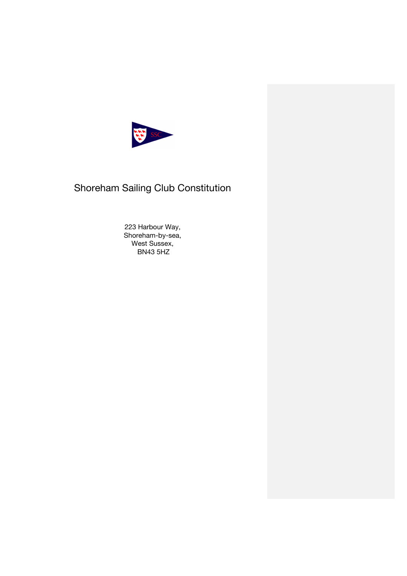

# Shoreham Sailing Club Constitution

223 Harbour Way, Shoreham-by-sea, West Sussex, BN43 5HZ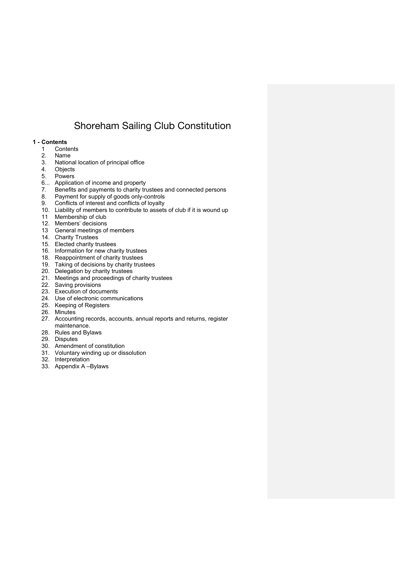# Shoreham Sailing Club Constitution

# **1 - Contents**

- 1 Contents
- 2. Name
- 3. National location of principal office
- **Objects**
- 5. Powers
- 6... Application of income and property
- 7. Benefits and payments to charity trustees and connected persons<br>8. Payment for supply of goods only-controls
- Payment for supply of goods only-controls
- 9. Conflicts of interest and conflicts of loyalty
- 10. Liability of members to contribute to assets of club if it is wound up
- 11 Membership of club
- 12. Members' decisions
- 13 General meetings of members
- 14. Charity Trustees
- 15. Elected charity trustees
- 16. Information for new charity trustees
- 18. Reappointment of charity trustees
- 19. Taking of decisions by charity trustees
- 20. Delegation by charity trustees
- 21. Meetings and proceedings of charity trustees
- 22. Saving provisions
- 23. Execution of documents
- 24. Use of electronic communications
- 25. Keeping of Registers
- 26. Minutes
- 27. Accounting records, accounts, annual reports and returns, register maintenance.
- 28. Rules and Bylaws
- 29. Disputes
- 30. Amendment of constitution
- 31. Voluntary winding up or dissolution
- 32. Interpretation
- 33. Appendix A –Bylaws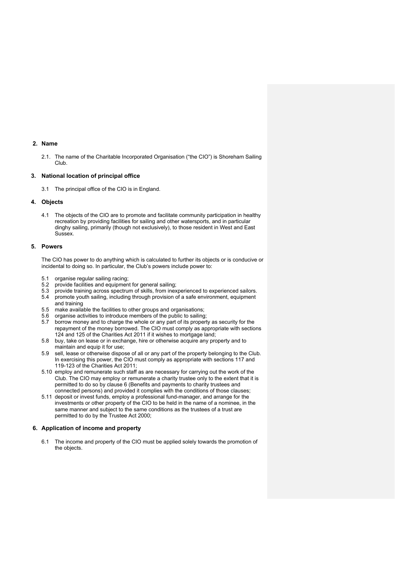# **2. Name**

2.1. The name of the Charitable Incorporated Organisation ("the CIO") is Shoreham Sailing Club.

# **3. National location of principal office**

3.1 The principal office of the CIO is in England.

# **4. Objects**

4.1 The objects of the CIO are to promote and facilitate community participation in healthy recreation by providing facilities for sailing and other watersports, and in particular dinghy sailing, primarily (though not exclusively), to those resident in West and East Sussex.

# **5. Powers**

The CIO has power to do anything which is calculated to further its objects or is conducive or incidental to doing so. In particular, the Club's powers include power to:

- 5.1 organise regular sailing racing;
- 5.2 provide facilities and equipment for general sailing;
- 5.3 provide training across spectrum of skills, from inexperienced to experienced sailors.<br>5.4 promote youth sailing, including through provision of a safe environment, equipment
- promote youth sailing, including through provision of a safe environment, equipment and training
- 5.5 make available the facilities to other groups and organisations;
- 5.6 organise activities to introduce members of the public to sailing;
- 5.7 borrow money and to charge the whole or any part of its property as security for the repayment of the money borrowed. The CIO must comply as appropriate with sections 124 and 125 of the Charities Act 2011 if it wishes to mortgage land;
- 5.8 buy, take on lease or in exchange, hire or otherwise acquire any property and to maintain and equip it for use;
- 5.9 sell, lease or otherwise dispose of all or any part of the property belonging to the Club. In exercising this power, the CIO must comply as appropriate with sections 117 and 119-123 of the Charities Act 2011;
- 5.10 employ and remunerate such staff as are necessary for carrying out the work of the Club. The CIO may employ or remunerate a charity trustee only to the extent that it is permitted to do so by clause 6 (Benefits and payments to charity trustees and connected persons) and provided it complies with the conditions of those clauses;
- 5.11 deposit or invest funds, employ a professional fund-manager, and arrange for the investments or other property of the CIO to be held in the name of a nominee, in the same manner and subject to the same conditions as the trustees of a trust are permitted to do by the Trustee Act 2000;

### **6. Application of income and property**

6.1 The income and property of the CIO must be applied solely towards the promotion of the objects.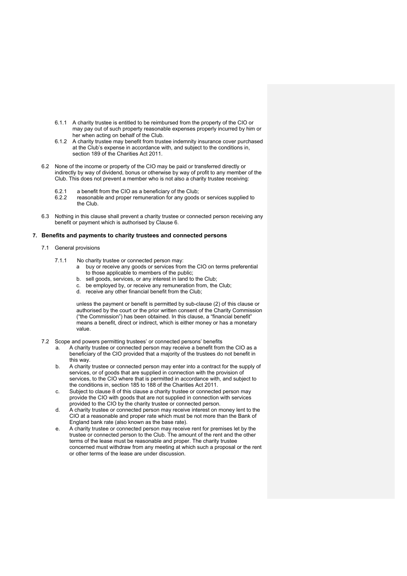- 6.1.1 A charity trustee is entitled to be reimbursed from the property of the CIO or may pay out of such property reasonable expenses properly incurred by him or her when acting on behalf of the Club.
- 6.1.2 A charity trustee may benefit from trustee indemnity insurance cover purchased at the Club's expense in accordance with, and subject to the conditions in, section 189 of the Charities Act 2011.
- 6.2 None of the income or property of the CIO may be paid or transferred directly or indirectly by way of dividend, bonus or otherwise by way of profit to any member of the Club. This does not prevent a member who is not also a charity trustee receiving:
	-
	- 6.2.1 a benefit from the CIO as a beneficiary of the Club;<br>6.2.2 reasonable and proper remuneration for any goods reasonable and proper remuneration for any goods or services supplied to the Club.
- 6.3 Nothing in this clause shall prevent a charity trustee or connected person receiving any benefit or payment which is authorised by Clause 6.

#### **7. Benefits and payments to charity trustees and connected persons**

- 7.1 General provisions
	- 7.1.1 No charity trustee or connected person may:
		- a buy or receive any goods or services from the CIO on terms preferential to those applicable to members of the public;
			- b. sell goods, services, or any interest in land to the Club;
		- c. be employed by, or receive any remuneration from, the Club;
		- d. receive any other financial benefit from the Club;

unless the payment or benefit is permitted by sub-clause (2) of this clause or authorised by the court or the prior written consent of the Charity Commission ("the Commission") has been obtained. In this clause, a "financial benefit" means a benefit, direct or indirect, which is either money or has a monetary value.

- 7.2 Scope and powers permitting trustees' or connected persons' benefits
	- a. A charity trustee or connected person may receive a benefit from the CIO as a beneficiary of the CIO provided that a majority of the trustees do not benefit in this way.
	- b. A charity trustee or connected person may enter into a contract for the supply of services, or of goods that are supplied in connection with the provision of services, to the CIO where that is permitted in accordance with, and subject to the conditions in, section 185 to 188 of the Charities Act 2011.
	- c. Subject to clause 8 of this clause a charity trustee or connected person may provide the CIO with goods that are not supplied in connection with services provided to the CIO by the charity trustee or connected person.
	- d. A charity trustee or connected person may receive interest on money lent to the CIO at a reasonable and proper rate which must be not more than the Bank of England bank rate (also known as the base rate).
	- e. A charity trustee or connected person may receive rent for premises let by the trustee or connected person to the Club. The amount of the rent and the other terms of the lease must be reasonable and proper. The charity trustee concerned must withdraw from any meeting at which such a proposal or the rent or other terms of the lease are under discussion.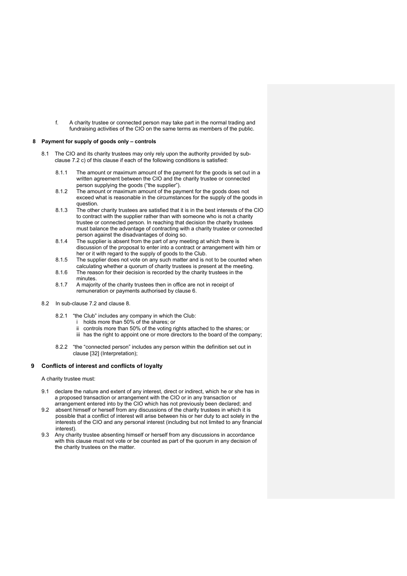f. A charity trustee or connected person may take part in the normal trading and fundraising activities of the CIO on the same terms as members of the public.

#### **8 Payment for supply of goods only – controls**

- 8.1 The CIO and its charity trustees may only rely upon the authority provided by subclause 7.2 c) of this clause if each of the following conditions is satisfied:
	- 8.1.1 The amount or maximum amount of the payment for the goods is set out in a written agreement between the CIO and the charity trustee or connected person supplying the goods ("the supplier").
	- 8.1.2 The amount or maximum amount of the payment for the goods does not exceed what is reasonable in the circumstances for the supply of the goods in question.
	- 8.1.3 The other charity trustees are satisfied that it is in the best interests of the CIO to contract with the supplier rather than with someone who is not a charity trustee or connected person. In reaching that decision the charity trustees must balance the advantage of contracting with a charity trustee or connected person against the disadvantages of doing so.
	- 8.1.4 The supplier is absent from the part of any meeting at which there is discussion of the proposal to enter into a contract or arrangement with him or her or it with regard to the supply of goods to the Club.
	- 8.1.5 The supplier does not vote on any such matter and is not to be counted when calculating whether a quorum of charity trustees is present at the meeting.
	- 8.1.6 The reason for their decision is recorded by the charity trustees in the minutes.
	- 8.1.7 A majority of the charity trustees then in office are not in receipt of remuneration or payments authorised by clause 6.
- 8.2 In sub-clause 7.2 and clause 8.
	- 8.2.1 "the Club" includes any company in which the Club:
		- i holds more than 50% of the shares; or
		- ii controls more than 50% of the voting rights attached to the shares; or
		- iii has the right to appoint one or more directors to the board of the company;
	- 8.2.2 "the "connected person" includes any person within the definition set out in clause [32] (Interpretation);

### **9 Conflicts of interest and conflicts of loyalty**

A charity trustee must:

- 9.1 declare the nature and extent of any interest, direct or indirect, which he or she has in a proposed transaction or arrangement with the CIO or in any transaction or arrangement entered into by the CIO which has not previously been declared; and
- 9.2 absent himself or herself from any discussions of the charity trustees in which it is possible that a conflict of interest will arise between his or her duty to act solely in the interests of the CIO and any personal interest (including but not limited to any financial interest).
- 9.3 Any charity trustee absenting himself or herself from any discussions in accordance with this clause must not vote or be counted as part of the quorum in any decision of the charity trustees on the matter.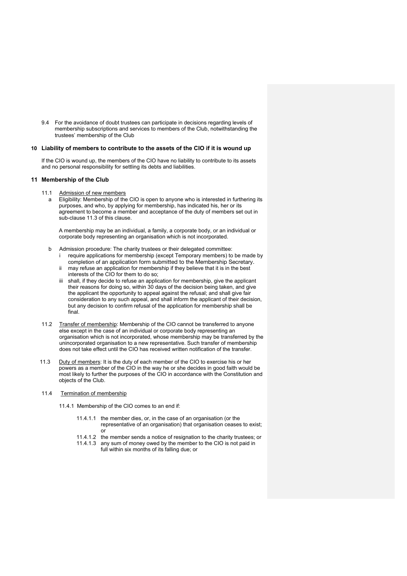9.4 For the avoidance of doubt trustees can participate in decisions regarding levels of membership subscriptions and services to members of the Club, notwithstanding the trustees' membership of the Club

#### **10 Liability of members to contribute to the assets of the CIO if it is wound up**

If the CIO is wound up, the members of the CIO have no liability to contribute to its assets and no personal responsibility for settling its debts and liabilities.

#### **11 Membership of the Club**

- 11.1 Admission of new members
	- Eligibility: Membership of the CIO is open to anyone who is interested in furthering its purposes, and who, by applying for membership, has indicated his, her or its agreement to become a member and acceptance of the duty of members set out in sub-clause 11.3 of this clause.

A membership may be an individual, a family, a corporate body, or an individual or corporate body representing an organisation which is not incorporated.

- b Admission procedure: The charity trustees or their delegated committee: require applications for membership (except Temporary members) to be made by completion of an application form submitted to the Membership Secretary.
	- ii may refuse an application for membership if they believe that it is in the best interests of the CIO for them to do so;
	- iii shall, if they decide to refuse an application for membership, give the applicant their reasons for doing so, within 30 days of the decision being taken, and give the applicant the opportunity to appeal against the refusal; and shall give fair consideration to any such appeal, and shall inform the applicant of their decision, but any decision to confirm refusal of the application for membership shall be final.
- 11.2 Transfer of membership: Membership of the CIO cannot be transferred to anyone else except in the case of an individual or corporate body representing an organisation which is not incorporated, whose membership may be transferred by the unincorporated organisation to a new representative. Such transfer of membership does not take effect until the CIO has received written notification of the transfer.
- 11.3 Duty of members: It is the duty of each member of the CIO to exercise his or her powers as a member of the CIO in the way he or she decides in good faith would be most likely to further the purposes of the CIO in accordance with the Constitution and objects of the Club.
- 11.4 Termination of membership

11.4.1 Membership of the CIO comes to an end if:

- 11.4.1.1 the member dies, or, in the case of an organisation (or the representative of an organisation) that organisation ceases to exist; or
- 11.4.1.2 the member sends a notice of resignation to the charity trustees; or
- 11.4.1.3 any sum of money owed by the member to the CIO is not paid in full within six months of its falling due; or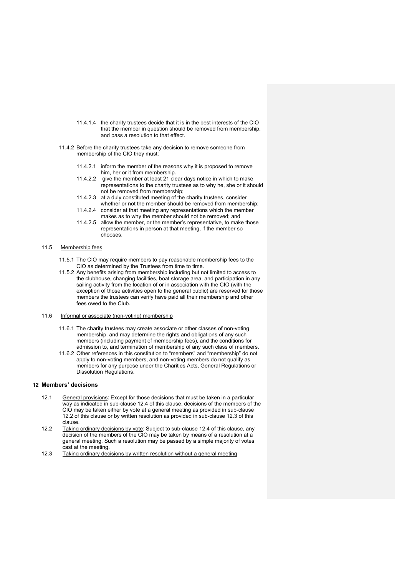- 11.4.1.4 the charity trustees decide that it is in the best interests of the CIO that the member in question should be removed from membership, and pass a resolution to that effect.
- 11.4.2 Before the charity trustees take any decision to remove someone from membership of the CIO they must:
	- 11.4.2.1 inform the member of the reasons why it is proposed to remove him, her or it from membership.
	- 11.4.2.2 give the member at least 21 clear days notice in which to make representations to the charity trustees as to why he, she or it should not be removed from membership;
	- 11.4.2.3 at a duly constituted meeting of the charity trustees, consider whether or not the member should be removed from membership;
	- 11.4.2.4 consider at that meeting any representations which the member makes as to why the member should not be removed; and
	- 11.4.2.5 allow the member, or the member's representative, to make those representations in person at that meeting, if the member so chooses.

#### 11.5 Membership fees

- 11.5.1 The CIO may require members to pay reasonable membership fees to the CIO as determined by the Trustees from time to time.
- 11.5.2 Any benefits arising from membership including but not limited to access to the clubhouse, changing facilities, boat storage area, and participation in any sailing activity from the location of or in association with the CIO (with the exception of those activities open to the general public) are reserved for those members the trustees can verify have paid all their membership and other fees owed to the Club.
- 11.6 Informal or associate (non-voting) membership
	- 11.6.1 The charity trustees may create associate or other classes of non-voting membership, and may determine the rights and obligations of any such members (including payment of membership fees), and the conditions for admission to, and termination of membership of any such class of members.
	- 11.6.2 Other references in this constitution to "members" and "membership" do not apply to non-voting members, and non-voting members do not qualify as members for any purpose under the Charities Acts, General Regulations or Dissolution Regulations.

# **12 Members' decisions**

- 12.1 General provisions: Except for those decisions that must be taken in a particular way as indicated in sub-clause 12.4 of this clause, decisions of the members of the CIO may be taken either by vote at a general meeting as provided in sub-clause 12.2 of this clause or by written resolution as provided in sub-clause 12.3 of this clause.
- 12.2 Taking ordinary decisions by vote: Subject to sub-clause 12.4 of this clause, any decision of the members of the CIO may be taken by means of a resolution at a general meeting. Such a resolution may be passed by a simple majority of votes cast at the meeting.
- 12.3 Taking ordinary decisions by written resolution without a general meeting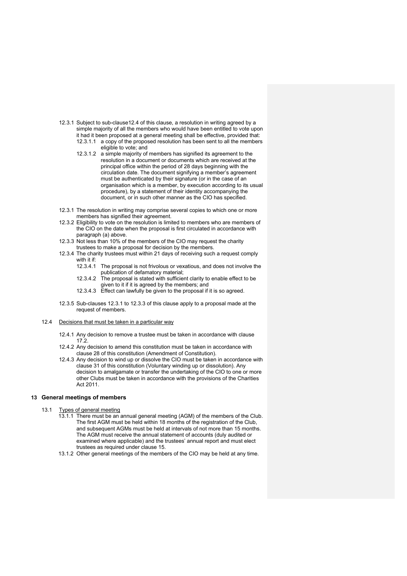- 12.3.1 Subject to sub-clause12.4 of this clause, a resolution in writing agreed by a simple majority of all the members who would have been entitled to vote upon it had it been proposed at a general meeting shall be effective, provided that: 12.3.1.1 a copy of the proposed resolution has been sent to all the members eligible to vote; and
	- 12.3.1.2 a simple majority of members has signified its agreement to the resolution in a document or documents which are received at the principal office within the period of 28 days beginning with the circulation date. The document signifying a member's agreement must be authenticated by their signature (or in the case of an organisation which is a member, by execution according to its usual procedure), by a statement of their identity accompanying the document, or in such other manner as the CIO has specified.
- 12.3.1 The resolution in writing may comprise several copies to which one or more members has signified their agreement.
- 12.3.2 Eligibility to vote on the resolution is limited to members who are members of the CIO on the date when the proposal is first circulated in accordance with paragraph (a) above.
- 12.3.3 Not less than 10% of the members of the CIO may request the charity trustees to make a proposal for decision by the members.
- 12.3.4 The charity trustees must within 21 days of receiving such a request comply with it if:
	- 12.3.4.1 The proposal is not frivolous or vexatious, and does not involve the publication of defamatory material;
	- 12.3.4.2 The proposal is stated with sufficient clarity to enable effect to be given to it if it is agreed by the members; and
	- 12.3.4.3 Effect can lawfully be given to the proposal if it is so agreed.
- 12.3.5 Sub-clauses 12.3.1 to 12.3.3 of this clause apply to a proposal made at the request of members.
- 12.4 Decisions that must be taken in a particular way
	- 12.4.1 Any decision to remove a trustee must be taken in accordance with clause 17.2.
	- 12.4.2 Any decision to amend this constitution must be taken in accordance with clause 28 of this constitution (Amendment of Constitution).
	- 12.4.3 Any decision to wind up or dissolve the CIO must be taken in accordance with clause 31 of this constitution (Voluntary winding up or dissolution). Any decision to amalgamate or transfer the undertaking of the CIO to one or more other Clubs must be taken in accordance with the provisions of the Charities Act 2011.

# **13 General meetings of members**

- 13.1 Types of general meeting
	- 13.1.1 There must be an annual general meeting (AGM) of the members of the Club. The first AGM must be held within 18 months of the registration of the Club, and subsequent AGMs must be held at intervals of not more than 15 months. The AGM must receive the annual statement of accounts (duly audited or examined where applicable) and the trustees' annual report and must elect trustees as required under clause 15.
	- 13.1.2 Other general meetings of the members of the CIO may be held at any time.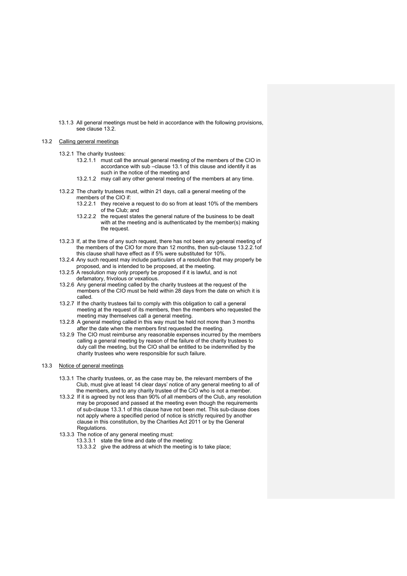13.1.3 All general meetings must be held in accordance with the following provisions, see clause 13.2.

#### 13.2 Calling general meetings

- 13.2.1 The charity trustees:
	- 13.2.1.1 must call the annual general meeting of the members of the CIO in accordance with sub –clause 13.1 of this clause and identify it as such in the notice of the meeting and
	- 13.2.1.2 may call any other general meeting of the members at any time.
- 13.2.2 The charity trustees must, within 21 days, call a general meeting of the members of the CIO if:
	- 13.2.2.1 they receive a request to do so from at least 10% of the members of the Club; and
	- 13.2.2.2 the request states the general nature of the business to be dealt with at the meeting and is authenticated by the member(s) making the request.
- 13.2.3 If, at the time of any such request, there has not been any general meeting of the members of the CIO for more than 12 months, then sub-clause 13.2.2.1of this clause shall have effect as if 5% were substituted for 10%.
- 13.2.4 Any such request may include particulars of a resolution that may properly be proposed, and is intended to be proposed, at the meeting.
- 13.2.5 A resolution may only properly be proposed if it is lawful, and is not defamatory, frivolous or vexatious.
- 13.2.6 Any general meeting called by the charity trustees at the request of the members of the CIO must be held within 28 days from the date on which it is called.
- 13.2.7 If the charity trustees fail to comply with this obligation to call a general meeting at the request of its members, then the members who requested the meeting may themselves call a general meeting.
- 13.2.8 A general meeting called in this way must be held not more than 3 months after the date when the members first requested the meeting.
- 13.2.9 The CIO must reimburse any reasonable expenses incurred by the members calling a general meeting by reason of the failure of the charity trustees to duly call the meeting, but the CIO shall be entitled to be indemnified by the charity trustees who were responsible for such failure.

#### 13.3 Notice of general meetings

- 13.3.1 The charity trustees, or, as the case may be, the relevant members of the Club, must give at least 14 clear days' notice of any general meeting to all of the members, and to any charity trustee of the CIO who is not a member.
- 13.3.2 If it is agreed by not less than 90% of all members of the Club, any resolution may be proposed and passed at the meeting even though the requirements of sub-clause 13.3.1 of this clause have not been met. This sub-clause does not apply where a specified period of notice is strictly required by another clause in this constitution, by the Charities Act 2011 or by the General Regulations.
- 13.3.3 The notice of any general meeting must:
	- 13.3.3.1 state the time and date of the meeting:
	- 13.3.3.2 give the address at which the meeting is to take place;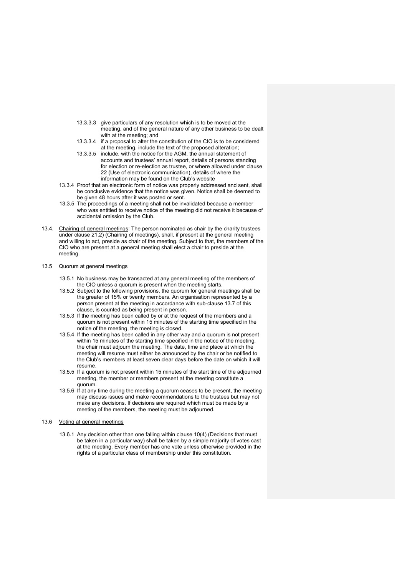- 13.3.3.3 give particulars of any resolution which is to be moved at the meeting, and of the general nature of any other business to be dealt with at the meeting; and
- 13.3.3.4 if a proposal to alter the constitution of the CIO is to be considered at the meeting, include the text of the proposed alteration;
- 13.3.3.5 include, with the notice for the AGM, the annual statement of accounts and trustees' annual report, details of persons standing for election or re-election as trustee, or where allowed under clause 22 (Use of electronic communication), details of where the information may be found on the Club's website
- 13.3.4 Proof that an electronic form of notice was properly addressed and sent, shall be conclusive evidence that the notice was given. Notice shall be deemed to be given 48 hours after it was posted or sent.
- 13.3.5 The proceedings of a meeting shall not be invalidated because a member who was entitled to receive notice of the meeting did not receive it because of accidental omission by the Club.
- 13.4. Chairing of general meetings: The person nominated as chair by the charity trustees under clause 21.2) (Chairing of meetings), shall, if present at the general meeting and willing to act, preside as chair of the meeting. Subject to that, the members of the CIO who are present at a general meeting shall elect a chair to preside at the meeting.

#### 13.5 Quorum at general meetings

- 13.5.1 No business may be transacted at any general meeting of the members of the CIO unless a quorum is present when the meeting starts.
- 13.5.2 Subject to the following provisions, the quorum for general meetings shall be the greater of 15% or twenty members. An organisation represented by a person present at the meeting in accordance with sub-clause 13.7 of this clause, is counted as being present in person.
- 13.5.3 If the meeting has been called by or at the request of the members and a quorum is not present within 15 minutes of the starting time specified in the notice of the meeting, the meeting is closed.
- 13.5.4 If the meeting has been called in any other way and a quorum is not present within 15 minutes of the starting time specified in the notice of the meeting, the chair must adjourn the meeting. The date, time and place at which the meeting will resume must either be announced by the chair or be notified to the Club's members at least seven clear days before the date on which it will resume.
- 13.5.5 If a quorum is not present within 15 minutes of the start time of the adjourned meeting, the member or members present at the meeting constitute a quorum.
- 13.5.6 If at any time during the meeting a quorum ceases to be present, the meeting may discuss issues and make recommendations to the trustees but may not make any decisions. If decisions are required which must be made by a meeting of the members, the meeting must be adjourned.
- 13.6 Voting at general meetings
	- 13.6.1 Any decision other than one falling within clause 10(4) (Decisions that must be taken in a particular way) shall be taken by a simple majority of votes cast at the meeting. Every member has one vote unless otherwise provided in the rights of a particular class of membership under this constitution.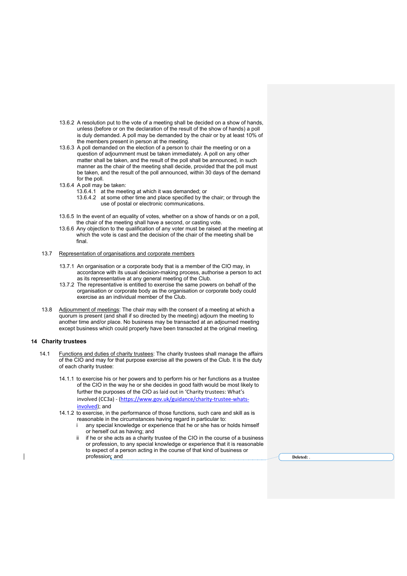- 13.6.2 A resolution put to the vote of a meeting shall be decided on a show of hands, unless (before or on the declaration of the result of the show of hands) a poll is duly demanded. A poll may be demanded by the chair or by at least 10% of the members present in person at the meeting.
- 13.6.3 A poll demanded on the election of a person to chair the meeting or on a question of adjournment must be taken immediately. A poll on any other matter shall be taken, and the result of the poll shall be announced, in such manner as the chair of the meeting shall decide, provided that the poll must be taken, and the result of the poll announced, within 30 days of the demand for the poll.
- 13.6.4 A poll may be taken:
	- 13.6.4.1 at the meeting at which it was demanded; or
	- 13.6.4.2 at some other time and place specified by the chair; or through the use of postal or electronic communications.
- 13.6.5 In the event of an equality of votes, whether on a show of hands or on a poll, the chair of the meeting shall have a second, or casting vote.
- 13.6.6 Any objection to the qualification of any voter must be raised at the meeting at which the vote is cast and the decision of the chair of the meeting shall be final.
- 13.7 Representation of organisations and corporate members
	- 13.7.1 An organisation or a corporate body that is a member of the CIO may, in accordance with its usual decision-making process, authorise a person to act as its representative at any general meeting of the Club.
	- 13.7.2 The representative is entitled to exercise the same powers on behalf of the organisation or corporate body as the organisation or corporate body could exercise as an individual member of the Club.
- 13.8 Adjournment of meetings: The chair may with the consent of a meeting at which a quorum is present (and shall if so directed by the meeting) adjourn the meeting to another time and/or place. No business may be transacted at an adjourned meeting except business which could properly have been transacted at the original meeting.

# **14 Charity trustees**

- 14.1 Functions and duties of charity trustees: The charity trustees shall manage the affairs of the CIO and may for that purpose exercise all the powers of the Club. It is the duty of each charity trustee:
	- 14.1.1 to exercise his or her powers and to perform his or her functions as a trustee of the CIO in the way he or she decides in good faith would be most likely to further the purposes of the CIO as laid out in 'Charity trustees: What's involved (CC3a) - (https://www.gov.uk/guidance/charity-trustee-whatsinvolved); and
	- 14.1.2 to exercise, in the performance of those functions, such care and skill as is reasonable in the circumstances having regard in particular to:
		- any special knowledge or experience that he or she has or holds himself or herself out as having; and
		- if he or she acts as a charity trustee of the CIO in the course of a business or profession, to any special knowledge or experience that it is reasonable to expect of a person acting in the course of that kind of business or profession; and **Deleted: Deleted: Deleted: Deleted: Deleted: Deleted: Deleted: Deleted: Deleted: Deleted: Deleted: Deleted: Deleted: Deleted: Deleted: Deleted: Deleted: Deleted: Deleted**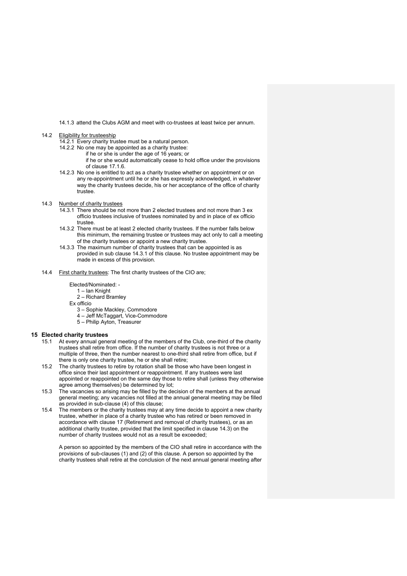14.1.3 attend the Clubs AGM and meet with co-trustees at least twice per annum.

# 14.2 Eligibility for trusteeship

- 14.2.1 Every charity trustee must be a natural person.
- 14.2.2 No one may be appointed as a charity trustee:
	- if he or she is under the age of 16 years; or
		- if he or she would automatically cease to hold office under the provisions of clause 17.1.6.
- 14.2.3 No one is entitled to act as a charity trustee whether on appointment or on any re-appointment until he or she has expressly acknowledged, in whatever way the charity trustees decide, his or her acceptance of the office of charity trustee.
- 14.3 Number of charity trustees
	- 14.3.1 There should be not more than 2 elected trustees and not more than 3 ex officio trustees inclusive of trustees nominated by and in place of ex officio trustee.
	- 14.3.2 There must be at least 2 elected charity trustees. If the number falls below this minimum, the remaining trustee or trustees may act only to call a meeting of the charity trustees or appoint a new charity trustee.
	- 14.3.3 The maximum number of charity trustees that can be appointed is as provided in sub clause 14.3.1 of this clause. No trustee appointment may be made in excess of this provision.
- 14.4 First charity trustees: The first charity trustees of the CIO are;

#### Elected/Nominated: -

- 1 Ian Knight
- 2 Richard Bramley
- Ex officio
	- 3 Sophie Mackley, Commodore
	- 4 Jeff McTaggart, Vice-Commodore
- 5 Philip Ayton, Treasurer

#### **15 Elected charity trustees**

- 15.1 At every annual general meeting of the members of the Club, one-third of the charity trustees shall retire from office. If the number of charity trustees is not three or a multiple of three, then the number nearest to one-third shall retire from office, but if there is only one charity trustee, he or she shall retire;
- 15.2 The charity trustees to retire by rotation shall be those who have been longest in office since their last appointment or reappointment. If any trustees were last appointed or reappointed on the same day those to retire shall (unless they otherwise agree among themselves) be determined by lot;
- 15.3 The vacancies so arising may be filled by the decision of the members at the annual general meeting; any vacancies not filled at the annual general meeting may be filled as provided in sub-clause (4) of this clause;
- 15.4 The members or the charity trustees may at any time decide to appoint a new charity trustee, whether in place of a charity trustee who has retired or been removed in accordance with clause 17 (Retirement and removal of charity trustees), or as an additional charity trustee, provided that the limit specified in clause 14.3) on the number of charity trustees would not as a result be exceeded;

A person so appointed by the members of the CIO shall retire in accordance with the provisions of sub-clauses (1) and (2) of this clause. A person so appointed by the charity trustees shall retire at the conclusion of the next annual general meeting after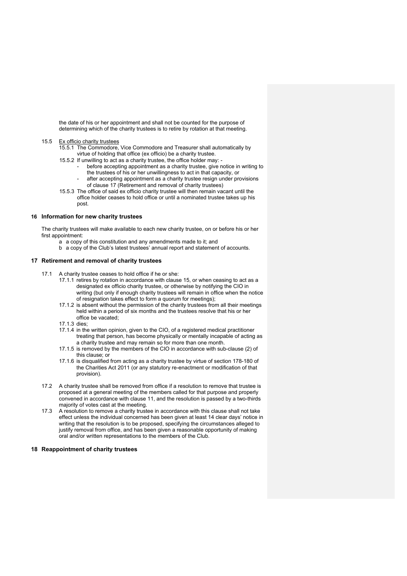the date of his or her appointment and shall not be counted for the purpose of determining which of the charity trustees is to retire by rotation at that meeting.

#### 15.5 Ex officio charity trustees

- 15.5.1 The Commodore, Vice Commodore and Treasurer shall automatically by virtue of holding that office (ex officio) be a charity trustee.
- 15.5.2 If unwilling to act as a charity trustee, the office holder may:
	- before accepting appointment as a charity trustee, give notice in writing to the trustees of his or her unwillingness to act in that capacity, or
	- after accepting appointment as a charity trustee resign under provisions of clause 17 (Retirement and removal of charity trustees)
- 15.5.3 The office of said ex officio charity trustee will then remain vacant until the office holder ceases to hold office or until a nominated trustee takes up his post.

#### **16 Information for new charity trustees**

The charity trustees will make available to each new charity trustee, on or before his or her first appointment:

- a a copy of this constitution and any amendments made to it; and
- b a copy of the Club's latest trustees' annual report and statement of accounts.

### **17 Retirement and removal of charity trustees**

- 17.1 A charity trustee ceases to hold office if he or she:
	- 17.1.1 retires by rotation in accordance with clause 15, or when ceasing to act as a designated ex officio charity trustee, or otherwise by notifying the CIO in writing (but only if enough charity trustees will remain in office when the notice of resignation takes effect to form a quorum for meetings);
	- 17.1.2 is absent without the permission of the charity trustees from all their meetings held within a period of six months and the trustees resolve that his or her office be vacated;
	- 17.1.3 dies;
	- 17.1.4 in the written opinion, given to the CIO, of a registered medical practitioner treating that person, has become physically or mentally incapable of acting as a charity trustee and may remain so for more than one month.
	- 17.1.5 is removed by the members of the CIO in accordance with sub-clause (2) of this clause; or
	- 17.1.6 is disqualified from acting as a charity trustee by virtue of section 178-180 of the Charities Act 2011 (or any statutory re-enactment or modification of that provision).
- 17.2 A charity trustee shall be removed from office if a resolution to remove that trustee is proposed at a general meeting of the members called for that purpose and properly convened in accordance with clause 11, and the resolution is passed by a two-thirds majority of votes cast at the meeting.
- 17.3 A resolution to remove a charity trustee in accordance with this clause shall not take effect unless the individual concerned has been given at least 14 clear days' notice in writing that the resolution is to be proposed, specifying the circumstances alleged to justify removal from office, and has been given a reasonable opportunity of making oral and/or written representations to the members of the Club.

# **18 Reappointment of charity trustees**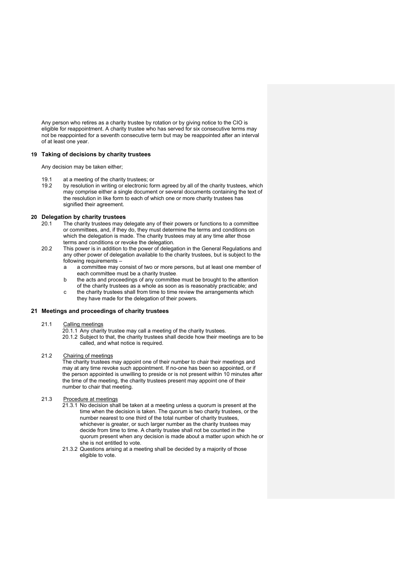Any person who retires as a charity trustee by rotation or by giving notice to the CIO is eligible for reappointment. A charity trustee who has served for six consecutive terms may not be reappointed for a seventh consecutive term but may be reappointed after an interval of at least one year.

# **19 Taking of decisions by charity trustees**

Any decision may be taken either;

- 19.1 at a meeting of the charity trustees; or
- 19.2 by resolution in writing or electronic form agreed by all of the charity trustees, which may comprise either a single document or several documents containing the text of the resolution in like form to each of which one or more charity trustees has signified their agreement.

#### **20 Delegation by charity trustees**

- 20.1 The charity trustees may delegate any of their powers or functions to a committee or committees, and, if they do, they must determine the terms and conditions on which the delegation is made. The charity trustees may at any time alter those terms and conditions or revoke the delegation.
- 20.2 This power is in addition to the power of delegation in the General Regulations and any other power of delegation available to the charity trustees, but is subject to the following requirements –
	- a a committee may consist of two or more persons, but at least one member of each committee must be a charity trustee.
	- b the acts and proceedings of any committee must be brought to the attention of the charity trustees as a whole as soon as is reasonably practicable; and
	- c the charity trustees shall from time to time review the arrangements which they have made for the delegation of their powers.

# **21 Meetings and proceedings of charity trustees**

- 21.1 Calling meetings
	- 20.1.1 Any charity trustee may call a meeting of the charity trustees.
	- 20.1.2 Subject to that, the charity trustees shall decide how their meetings are to be called, and what notice is required.

#### 21.2 Chairing of meetings

The charity trustees may appoint one of their number to chair their meetings and may at any time revoke such appointment. If no-one has been so appointed, or if the person appointed is unwilling to preside or is not present within 10 minutes after the time of the meeting, the charity trustees present may appoint one of their number to chair that meeting.

# 21.3 Procedure at meetings

- 21.3.1 No decision shall be taken at a meeting unless a quorum is present at the time when the decision is taken. The quorum is two charity trustees, or the number nearest to one third of the total number of charity trustees, whichever is greater, or such larger number as the charity trustees may decide from time to time. A charity trustee shall not be counted in the quorum present when any decision is made about a matter upon which he or she is not entitled to vote.
- 21.3.2 Questions arising at a meeting shall be decided by a majority of those eligible to vote.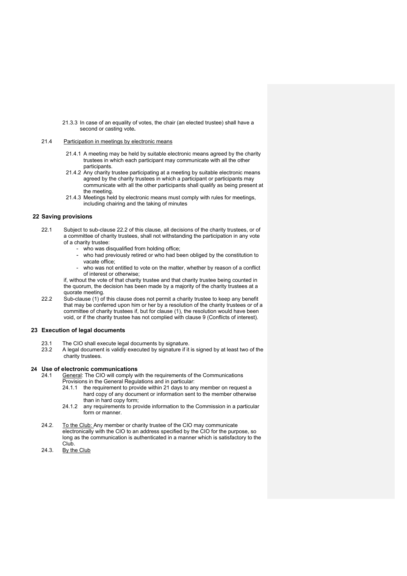21.3.3 In case of an equality of votes, the chair (an elected trustee) shall have a second or casting vote**.** 

#### 21.4 Participation in meetings by electronic means

- 21.4.1 A meeting may be held by suitable electronic means agreed by the charity trustees in which each participant may communicate with all the other participants.
- 21.4.2 Any charity trustee participating at a meeting by suitable electronic means agreed by the charity trustees in which a participant or participants may communicate with all the other participants shall qualify as being present at the meeting.
- 21.4.3 Meetings held by electronic means must comply with rules for meetings, including chairing and the taking of minutes

#### **22 Saving provisions**

- 22.1 Subject to sub-clause 22.2 of this clause, all decisions of the charity trustees, or of a committee of charity trustees, shall not withstanding the participation in any vote of a charity trustee:
	- who was disqualified from holding office;
	- who had previously retired or who had been obliged by the constitution to vacate office;
	- who was not entitled to vote on the matter, whether by reason of a conflict of interest or otherwise;

if, without the vote of that charity trustee and that charity trustee being counted in the quorum, the decision has been made by a majority of the charity trustees at a quorate meeting.

22.2 Sub-clause (1) of this clause does not permit a charity trustee to keep any benefit that may be conferred upon him or her by a resolution of the charity trustees or of a committee of charity trustees if, but for clause (1), the resolution would have been void, or if the charity trustee has not complied with clause 9 (Conflicts of interest).

#### **23 Execution of legal documents**

- 23.1 The CIO shall execute legal documents by signature.<br>23.2 A legal document is validly executed by signature if it
- A legal document is validly executed by signature if it is signed by at least two of the charity trustees.

#### **24 Use of electronic communications**

24.1 General: The CIO will comply with the requirements of the Communications Provisions in the General Regulations and in particular:

- 24.1.1 the requirement to provide within 21 days to any member on request a hard copy of any document or information sent to the member otherwise than in hard copy form;
- 24.1.2 any requirements to provide information to the Commission in a particular form or manner.
- 24.2. To the Club: Any member or charity trustee of the CIO may communicate electronically with the CIO to an address specified by the CIO for the purpose, so long as the communication is authenticated in a manner which is satisfactory to the Club.
- 24.3. By the Club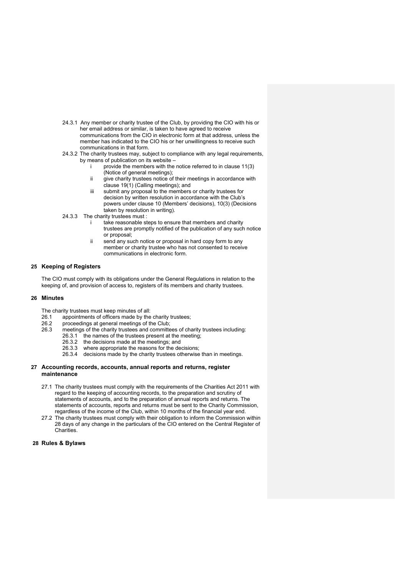- 24.3.1 Any member or charity trustee of the Club, by providing the CIO with his or her email address or similar, is taken to have agreed to receive communications from the CIO in electronic form at that address, unless the member has indicated to the CIO his or her unwillingness to receive such communications in that form.
- 24.3.2 The charity trustees may, subject to compliance with any legal requirements, by means of publication on its website –
	- provide the members with the notice referred to in clause 11(3) (Notice of general meetings);
	- ii give charity trustees notice of their meetings in accordance with clause 19(1) (Calling meetings); and
	- iii submit any proposal to the members or charity trustees for decision by written resolution in accordance with the Club's powers under clause 10 (Members' decisions), 10(3) (Decisions taken by resolution in writing).
- 24.3.3 The charity trustees must :
	- take reasonable steps to ensure that members and charity trustees are promptly notified of the publication of any such notice or proposal;
	- ii send any such notice or proposal in hard copy form to any member or charity trustee who has not consented to receive communications in electronic form.

# **25 Keeping of Registers**

The CIO must comply with its obligations under the General Regulations in relation to the keeping of, and provision of access to, registers of its members and charity trustees.

## **26 Minutes**

The charity trustees must keep minutes of all:<br>26.1 appointments of officers made by the

- appointments of officers made by the charity trustees;
- 26.2 proceedings at general meetings of the Club;
- 26.3 meetings of the charity trustees and committees of charity trustees including:
	- 26.3.1 the names of the trustees present at the meeting;
	- 26.3.2 the decisions made at the meetings; and
	- 26.3.3 where appropriate the reasons for the decisions;
	- 26.3.4 decisions made by the charity trustees otherwise than in meetings.

#### **27 Accounting records, accounts, annual reports and returns, register maintenance**

- 27.1 The charity trustees must comply with the requirements of the Charities Act 2011 with regard to the keeping of accounting records, to the preparation and scrutiny of statements of accounts, and to the preparation of annual reports and returns. The statements of accounts, reports and returns must be sent to the Charity Commission, regardless of the income of the Club, within 10 months of the financial year end.
- 27.2 The charity trustees must comply with their obligation to inform the Commission within 28 days of any change in the particulars of the CIO entered on the Central Register of Charities.

#### **28 Rules & Bylaws**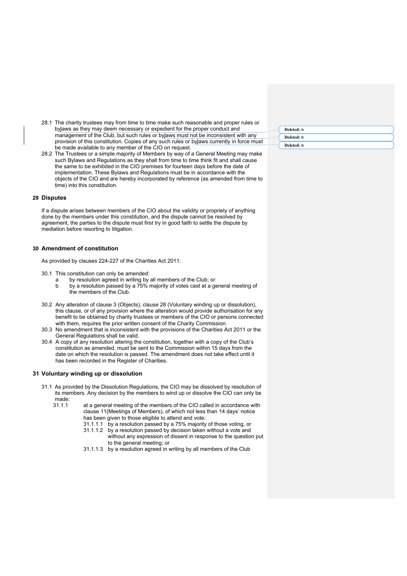- 28.1 The charity trustees may from time to time make such reasonable and proper rules or bylaws as they may deem necessary or expedient for the proper conduct and management of the Club, but such rules or bylaws must not be inconsistent with any provision of this constitution. Copies of any such rules or bylaws currently in force must be made available to any member of the CIO on request.
- 28.2 The Trustees or a simple majority of Members by way of a General Meeting may make such Bylaws and Regulations as they shall from time to time think fit and shall cause the same to be exhibited in the CIO premises for fourteen days before the date of implementation. These Bylaws and Regulations must be in accordance with the objects of the CIO and are hereby incorporated by reference (as amended from time to time) into this constitution.

## **29 Disputes**

If a dispute arises between members of the CIO about the validity or propriety of anything done by the members under this constitution, and the dispute cannot be resolved by agreement, the parties to the dispute must first try in good faith to settle the dispute by mediation before resorting to litigation.

# **30 Amendment of constitution**

As provided by clauses 224-227 of the Charities Act 2011:

- 30.1 This constitution can only be amended:
	- a by resolution agreed in writing by all members of the Club; or
	- b by a resolution passed by a 75% majority of votes cast at a general meeting of the members of the Club.
- 30.2 Any alteration of clause 3 (Objects), clause 28 (Voluntary winding up or dissolution), this clause, or of any provision where the alteration would provide authorisation for any benefit to be obtained by charity trustees or members of the CIO or persons connected with them, requires the prior written consent of the Charity Commission.
- 30.3 No amendment that is inconsistent with the provisions of the Charities Act 2011 or the General Regulations shall be valid.
- 30.4 A copy of any resolution altering the constitution, together with a copy of the Club's constitution as amended, must be sent to the Commission within 15 days from the date on which the resolution is passed. The amendment does not take effect until it has been recorded in the Register of Charities.

# **31 Voluntary winding up or dissolution**

- 31.1 As provided by the Dissolution Regulations, the CIO may be dissolved by resolution of its members. Any decision by the members to wind up or dissolve the CIO can only be
	- made:<br>31.1.1 at a general meeting of the members of the CIO called in accordance with clause 11(Meetings of Members), of which not less than 14 days' notice has been given to those eligible to attend and vote:
		- 31.1.1.1 by a resolution passed by a 75% majority of those voting, or
		- 31.1.1.2 by a resolution passed by decision taken without a vote and without any expression of dissent in response to the question put to the general meeting; or
		- 31.1.1.3 by a resolution agreed in writing by all members of the Club

| Deleted: e |  |
|------------|--|
| Deleted: e |  |
| Deleted: e |  |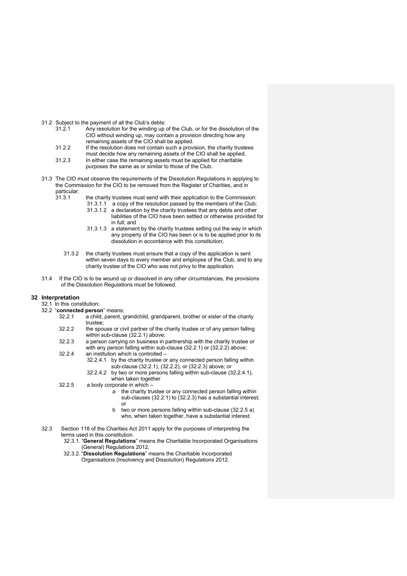31.2 Subject to the payment of all the Club's debts:<br> $31.2 \times 1$  Any resolution for the winding up

- Any resolution for the winding up of the Club, or for the dissolution of the CIO without winding up, may contain a provision directing how any remaining assets of the CIO shall be applied.
- 31.2.2 If the resolution does not contain such a provision, the charity trustees must decide how any remaining assets of the CIO shall be applied.
- 31.2.3 In either case the remaining assets must be applied for charitable purposes the same as or similar to those of the Club.
- 31.3 The CIO must observe the requirements of the Dissolution Regulations in applying to the Commission for the CIO to be removed from the Register of Charities, and in particular:<br>31.3.1
	- the charity trustees must send with their application to the Commission:
		- 31.3.1.1 a copy of the resolution passed by the members of the Club;
		- 31.3.1.2 a declaration by the charity trustees that any debts and other liabilities of the CIO have been settled or otherwise provided for in full; and
		- 31.3.1.3 a statement by the charity trustees setting out the way in which any property of the CIO has been or is to be applied prior to its dissolution in accordance with this constitution;
	- 31.3.2 the charity trustees must ensure that a copy of the application is sent within seven days to every member and employee of the Club, and to any charity trustee of the CIO who was not privy to the application.
- 31.4 If the CIO is to be wound up or dissolved in any other circumstances, the provisions of the Dissolution Regulations must be followed.

#### **32 Interpretation**

- 32.1 In this constitution:
- 32.2 "**connected person**" means:
	- 32.2.1 a child, parent, grandchild, grandparent, brother or sister of the charity trustee;
	- 32.2.2 the spouse or civil partner of the charity trustee or of any person falling within sub-clause (32.2.1) above;
	- 32.2.3 a person carrying on business in partnership with the charity trustee or with any person falling within sub-clause (32.2.1) or (32.2.2) above;
	- 32.2.4 an institution which is controlled
		- 32.2.4.1 by the charity trustee or any connected person falling within sub-clause (32.2.1), (32.2.2), or (32.2.3) above; or
		- 32.2.4.2 by two or more persons falling within sub-clause (32.2.4.1), when taken together
	- 32.2.5 a body corporate in which
		- a the charity trustee or any connected person falling within sub-clauses (32.2.1) to (32.2.3) has a substantial interest; or
		- b two or more persons falling within sub-clause (32.2.5 a) who, when taken together, have a substantial interest.
- 32.3 Section 118 of the Charities Act 2011 apply for the purposes of interpreting the terms used in this constitution.
	- 32.3.1. "**General Regulations**" means the Charitable Incorporated Organisations (General) Regulations 2012.
	- 32.3.2. "**Dissolution Regulations**" means the Charitable Incorporated Organisations (Insolvency and Dissolution) Regulations 2012.